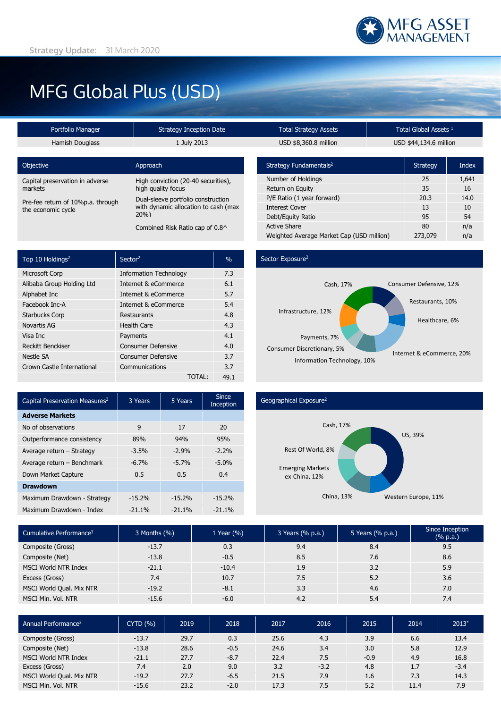# MFG Global Plus (USD)

| Portfolio Manager<br><b>Strategy Inception Date</b> |                                      | Т٥            |
|-----------------------------------------------------|--------------------------------------|---------------|
| Hamish Douglass                                     | 1 July 2013                          | U             |
|                                                     |                                      |               |
| <b>Objective</b>                                    | Approach                             | <b>Strate</b> |
| Capital preservation in adverse                     | High conviction (20-40 securities),  | Numb          |
| markets                                             | high quality focus                   | Returr        |
| Pre-fee return of 10%p.a. through                   | Dual-sleeve portfolio construction   | $P/E$ Ra      |
| the economic cycle                                  | with dynamic allocation to cash (max | Intere        |
|                                                     | 20%                                  | Debt/I        |
|                                                     | Combined Risk Ratio cap of 0.8^      | Active        |
|                                                     |                                      |               |

| Top 10 Holdings <sup>2</sup> | Sector <sup>2</sup>           | $\frac{0}{0}$ |
|------------------------------|-------------------------------|---------------|
| Microsoft Corp               | <b>Information Technology</b> | 7.3           |
| Alibaba Group Holding Ltd    | Internet & eCommerce          | 6.1           |
| Alphabet Inc                 | Internet & eCommerce          | 5.7           |
| Facebook Inc-A               | Internet & eCommerce          | 5.4           |
| <b>Starbucks Corp</b>        | Restaurants                   | 4.8           |
| Novartis AG                  | <b>Health Care</b>            | 4.3           |
| Visa Inc                     | Payments                      | 4.1           |
| <b>Reckitt Benckiser</b>     | <b>Consumer Defensive</b>     | 4.0           |
| Nestle SA                    | <b>Consumer Defensive</b>     | 3.7           |
| Crown Castle International   | Communications                | 3.7           |
|                              | TOTAL:                        | 49.1          |

# $\begin{array}{r} \text{total Strategy Assets} \end{array}$   $\begin{array}{r} \text{Total Global Assets} \end{array}$ ISD \$8,360.8 million USD \$44,134.6 million

| Strategy Fundamentals <sup>2</sup>        | <b>Strategy</b> | Index |
|-------------------------------------------|-----------------|-------|
| Number of Holdings                        | 25              | 1,641 |
| Return on Equity                          | 35              | 16    |
| P/E Ratio (1 year forward)                | 20.3            | 14.0  |
| <b>Interest Cover</b>                     | 13              | 10    |
| Debt/Equity Ratio                         | 95              | 54    |
| <b>Active Share</b>                       | 80              | n/a   |
| Weighted Average Market Cap (USD million) | 273,079         | n/a   |

## Sector Exposure<sup>2</sup>



| 3 Years  | 5 Years  | Since<br>Inception |  |
|----------|----------|--------------------|--|
|          |          |                    |  |
| 9        | 17       | 20                 |  |
| 89%      | 94%      | 95%                |  |
| $-3.5%$  | $-2.9%$  | $-2.2%$            |  |
| $-6.7%$  | $-5.7%$  | $-5.0%$            |  |
| 0.5      | 0.5      | 0.4                |  |
|          |          |                    |  |
| $-15.2%$ | $-15.2%$ | $-15.2%$           |  |
| $-21.1%$ | $-21.1%$ | $-21.1%$           |  |
|          |          |                    |  |

### Geographical Exposure2



| Cumulative Performance <sup>3</sup> | 3 Months (%) | 1 Year $(\% )$ | 3 Years (% p.a.) | 5 Years (% p.a.) | Since Inception<br>$(% \mathbb{R}^2)$ (% p.a.) |
|-------------------------------------|--------------|----------------|------------------|------------------|------------------------------------------------|
| Composite (Gross)                   | $-13.7$      | 0.3            | 9.4              | 8.4              | 9.5                                            |
| Composite (Net)                     | $-13.8$      | $-0.5$         | 8.5              | 7.6              | 8.6                                            |
| <b>MSCI World NTR Index</b>         | $-21.1$      | $-10.4$        | 1.9              | 3.2              | 5.9                                            |
| Excess (Gross)                      | 7.4          | 10.7           | 7.5              | 5.2              | 3.6                                            |
| MSCI World Qual. Mix NTR            | $-19.2$      | $-8.1$         | 3.3              | 4.6              | 7.0                                            |
| MSCI Min. Vol. NTR                  | $-15.6$      | $-6.0$         | 4.2              | 5.4              | 7.4                                            |

| Annual Performance <sup>3</sup> | CYTD(%) | 2019 | 2018   | 2017 | 2016   | 2015   | 2014 | $2013*$ |
|---------------------------------|---------|------|--------|------|--------|--------|------|---------|
| Composite (Gross)               | $-13.7$ | 29.7 | 0.3    | 25.6 | 4.3    | 3.9    | 6.6  | 13.4    |
| Composite (Net)                 | $-13.8$ | 28.6 | $-0.5$ | 24.6 | 3.4    | 3.0    | 5.8  | 12.9    |
| MSCI World NTR Index            | $-21.1$ | 27.7 | $-8.7$ | 22.4 | 7.5    | $-0.9$ | 4.9  | 16.8    |
| Excess (Gross)                  | 7.4     | 2.0  | 9.0    | 3.2  | $-3.2$ | 4.8    | 1.7  | $-3.4$  |
| MSCI World Qual. Mix NTR        | $-19.2$ | 27.7 | $-6.5$ | 21.5 | 7.9    | 1.6    | 7.3  | 14.3    |
| MSCI Min. Vol. NTR              | $-15.6$ | 23.2 | $-2.0$ | 17.3 | 7.5    | 5.2    | 11.4 | 7.9     |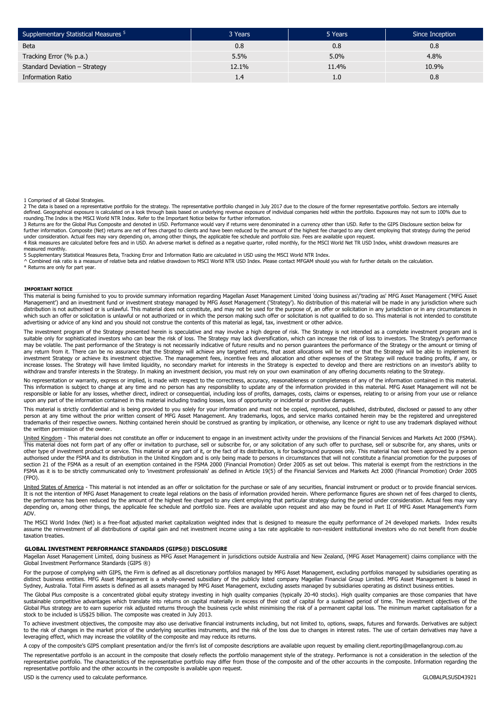| Supplementary Statistical Measures <sup>5</sup> | 3 Years | 5 Years       | Since Inception |
|-------------------------------------------------|---------|---------------|-----------------|
| <b>Beta</b>                                     | 0.8     | 0.8           | 0.8             |
| Tracking Error (% p.a.)                         | 5.5%    | 5.0%          | 4.8%            |
| Standard Deviation - Strategy                   | 12.1%   | 11.4%         | 10.9%           |
| <b>Information Ratio</b>                        |         | $1.0^{\circ}$ | 0.8             |

1 Comprised of all Global Strategies.

2 The data is based on a representative portfolio for the strategy. The representative portfolio changed in July 2017 due to the closure of the former representative portfolio. Sectors are internally<br>defined. Geographical

rounding.The Index is the MSCI World NTR Index. Refer to the Important Notice below for further information.<br>3 Returns are for the Global Plus Composite and denoted in USD. Performance would vary if returns were denominate further information. Composite (Net) returns are net of fees charged to clients and have been reduced by the amount of the highest fee charged to any client employing that strategy during the period under consideration. Actual fees may vary depending on, among other things, the applicable fee schedule and portfolio size. Fees are available upon request.<br>4 Risk measures are calculated before fees and in USD. An adverse measured monthly.

5 Supplementary Statistical Measures Beta, Tracking Error and Information Ratio are calculated in USD using the MSCI World NTR Index.<br>^ Combined risk ratio is a measure of relative beta and relative drawdown to MSCI World \* Returns are only for part year.

#### **IMPORTANT NOTICE**

This material is being furnished to you to provide summary information regarding Magellan Asset Management Limited 'doing business as'/'trading as' MFG Asset Management ('MFG Asset<br>Management') and an investment fund or in which such an offer or solicitation is unlawful or not authorized or in which the person making such offer or solicitation is not qualified to do so. This material is not intended to constitute advertising or advice of any kind and you should not construe the contents of this material as legal, tax, investment or other advice.

The investment program of the Strategy presented herein is speculative and may involve a high degree of risk. The Strategy is not intended as a complete investment program and is suitable only for sophisticated investors who can bear the risk of loss. The Strategy may lack diversification, which can increase the risk of loss to investors. The Strategy's performance<br>may be volatile. The past perform any return from it. There can be no assurance that the Strategy will achieve any targeted returns, that asset allocations will be met or that the Strategy will be able to implement its investment Strategy or achieve its investment objective. The management fees, incentive fees and allocation and other expenses of the Strategy will reduce trading profits, if any, or increase losses. The Strategy will have limited liquidity, no secondary market for interests in the Strategy is expected to develop and there are restrictions on an investor's ability to withdraw and transfer interests in the Strategy. In making an investment decision, you must rely on your own examination of any offering documents relating to the Strategy.

No representation or warranty, express or implied, is made with respect to the correctness, accuracy, reasonableness or completeness of any of the information contained in this material.<br>This information is subject to chan responsible or liable for any losses, whether direct, indirect or consequential, including loss of profits, damages, costs, claims or expenses, relating to or arising from your use or reliance upon any part of the information contained in this material including trading losses, loss of opportunity or incidental or punitive damages.

This material is strictly confidential and is being provided to you solely for your information and must not be copied, reproduced, published, distributed, disclosed or passed to any other<br>person at any time without the pr the written permission of the owner.

United Kingdom - This material does not constitute an offer or inducement to engage in an investment activity under the provisions of the Financial Services and Markets Act 2000 (FSMA). This material does not form part of any offer or invitation to purchase, sell or subscribe for, or any solicitation of any such offer to purchase, sell or subscribe for, any shares, units or<br>other type of investment produc authorised under the FSMA and its distribution in the United Kingdom and is only being made to persons in circumstances that will not constitute a financial promotion for the purposes of section 21 of the FSMA as a result of an exemption contained in the FSMA 2000 (Financial Promotion) Order 2005 as set out below. This material is exempt from the restrictions in the FSMA as it is to be strictly communicated only to 'investment professionals' as defined in Article 19(5) of the Financial Services and Markets Act 2000 (Financial Promotion) Order 2005 (FPO).

<u>United States of America</u> - This material is not intended as an offer or solicitation for the purchase or sale of any securities, financial instrument or product or to provide financial services.<br>It is not the intention o the performance has been reduced by the amount of the highest fee charged to any client employing that particular strategy during the period under consideration. Actual fees may vary depending on, among other things, the applicable fee schedule and portfolio size. Fees are available upon request and also may be found in Part II of MFG Asset Management's Form ADV.

The MSCI World Index (Net) is a free-float adjusted market capitalization weighted index that is designed to measure the equity performance of 24 developed markets. Index results assume the reinvestment of all distributions of capital gain and net investment income using a tax rate applicable to non-resident institutional investors who do not benefit from double taxation treaties.

#### **GLOBAL INVESTMENT PERFORMANCE STANDARDS (GIPS®) DISCLOSURE**

Magellan Asset Management Limited, doing business as MFG Asset Management in jurisdictions outside Australia and New Zealand, (MFG Asset Management) claims compliance with the Global Investment Performance Standards (GIPS ®)

For the purpose of complying with GIPS, the Firm is defined as all discretionary portfolios managed by MFG Asset Management, excluding portfolios managed by subsidiaries operating as distinct business entities. MFG Asset Management is a wholly-owned subsidiary of the publicly listed company Magellan Financial Group Limited. MFG Asset Management is based in<br>Sydney, Australia. Total Firm assets is define

The Global Plus composite is a concentrated global equity strategy investing in high quality companies (typically 20-40 stocks). High quality companies are those companies that have sustainable competitive advantages which translate into returns on capital materially in excess of their cost of capital for a sustained period of time. The investment objectives of the Global Plus strategy are to earn superior risk adjusted returns through the business cycle whilst minimising the risk of a permanent capital loss. The minimum market capitalisation for a stock to be included is US\$25 billion. The composite was created in July 2013.

To achieve investment objectives, the composite may also use derivative financial instruments including, but not limited to, options, swaps, futures and forwards. Derivatives are subject<br>to the risk of changes in the marke leveraging effect, which may increase the volatility of the composite and may reduce its returns.

A copy of the composite's GIPS compliant presentation and/or the firm's list of composite descriptions are available upon request by emailing client.reporting@magellangroup.com.au

The representative portfolio is an account in the composite that closely reflects the portfolio management style of the strategy. Performance is not a consideration in the selection of the representative portfolio. The characteristics of the representative portfolio may differ from those of the composite and of the other accounts in the composite. Information regarding the representative portfolio and the other accounts in the composite is available upon request.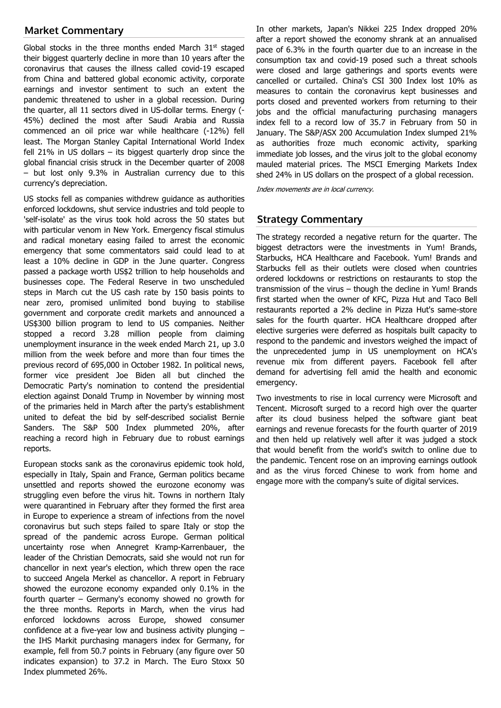# **Market Commentary**

Global stocks in the three months ended March  $31<sup>st</sup>$  staged their biggest quarterly decline in more than 10 years after the coronavirus that causes the illness called covid-19 escaped from China and battered global economic activity, corporate earnings and investor sentiment to such an extent the pandemic threatened to usher in a global recession. During the quarter, all 11 sectors dived in US-dollar terms. Energy (- 45%) declined the most after Saudi Arabia and Russia commenced an oil price war while healthcare (-12%) fell least. The Morgan Stanley Capital International World Index fell 21% in US dollars – its biggest quarterly drop since the global financial crisis struck in the December quarter of 2008 – but lost only 9.3% in Australian currency due to this currency's depreciation.

US stocks fell as companies withdrew guidance as authorities enforced lockdowns, shut service industries and told people to 'self-isolate' as the virus took hold across the 50 states but with particular venom in New York. Emergency fiscal stimulus and radical monetary easing failed to arrest the economic emergency that some commentators said could lead to at least a 10% decline in GDP in the June quarter. Congress passed a package worth US\$2 trillion to help households and businesses cope. The Federal Reserve in two unscheduled steps in March cut the US cash rate by 150 basis points to near zero, promised unlimited bond buying to stabilise government and corporate credit markets and announced a US\$300 billion program to lend to US companies. Neither stopped a record 3.28 million people from claiming unemployment insurance in the week ended March 21, up 3.0 million from the week before and more than four times the previous record of 695,000 in October 1982. In political news, former vice president Joe Biden all but clinched the Democratic Party's nomination to contend the presidential election against Donald Trump in November by winning most of the primaries held in March after the party's establishment united to defeat the bid by self-described socialist Bernie Sanders. The S&P 500 Index plummeted 20%, after reaching a record high in February due to robust earnings reports.

European stocks sank as the coronavirus epidemic took hold, especially in Italy, Spain and France, German politics became unsettled and reports showed the eurozone economy was struggling even before the virus hit. Towns in northern Italy were quarantined in February after they formed the first area in Europe to experience a stream of infections from the novel coronavirus but such steps failed to spare Italy or stop the spread of the pandemic across Europe. German political uncertainty rose when Annegret Kramp-Karrenbauer, the leader of the Christian Democrats, said she would not run for chancellor in next year's election, which threw open the race to succeed Angela Merkel as chancellor. A report in February showed the eurozone economy expanded only 0.1% in the fourth quarter – Germany's economy showed no growth for the three months. Reports in March, when the virus had enforced lockdowns across Europe, showed consumer confidence at a five-year low and business activity plunging – the IHS Markit purchasing managers index for Germany, for example, fell from 50.7 points in February (any figure over 50 indicates expansion) to 37.2 in March. The Euro Stoxx 50 Index plummeted 26%.

In other markets, Japan's Nikkei 225 Index dropped 20% after a report showed the economy shrank at an annualised pace of 6.3% in the fourth quarter due to an increase in the consumption tax and covid-19 posed such a threat schools were closed and large gatherings and sports events were cancelled or curtailed. China's CSI 300 Index lost 10% as measures to contain the coronavirus kept businesses and ports closed and prevented workers from returning to their jobs and the official manufacturing purchasing managers index fell to a record low of 35.7 in February from 50 in January. The S&P/ASX 200 Accumulation Index slumped 21% as authorities froze much economic activity, sparking immediate job losses, and the virus jolt to the global economy mauled material prices. The MSCI Emerging Markets Index shed 24% in US dollars on the prospect of a global recession.

Index movements are in local currency.

## **Strategy Commentary**

The strategy recorded a negative return for the quarter. The biggest detractors were the investments in Yum! Brands, Starbucks, HCA Healthcare and Facebook. Yum! Brands and Starbucks fell as their outlets were closed when countries ordered lockdowns or restrictions on restaurants to stop the transmission of the virus – though the decline in Yum! Brands first started when the owner of KFC, Pizza Hut and Taco Bell restaurants reported a 2% decline in Pizza Hut's same-store sales for the fourth quarter. HCA Healthcare dropped after elective surgeries were deferred as hospitals built capacity to respond to the pandemic and investors weighed the impact of the unprecedented jump in US unemployment on HCA's revenue mix from different payers. Facebook fell after demand for advertising fell amid the health and economic emergency.

Two investments to rise in local currency were Microsoft and Tencent. Microsoft surged to a record high over the quarter after its cloud business helped the software giant beat earnings and revenue forecasts for the fourth quarter of 2019 and then held up relatively well after it was judged a stock that would benefit from the world's switch to online due to the pandemic. Tencent rose on an improving earnings outlook and as the virus forced Chinese to work from home and engage more with the company's suite of digital services.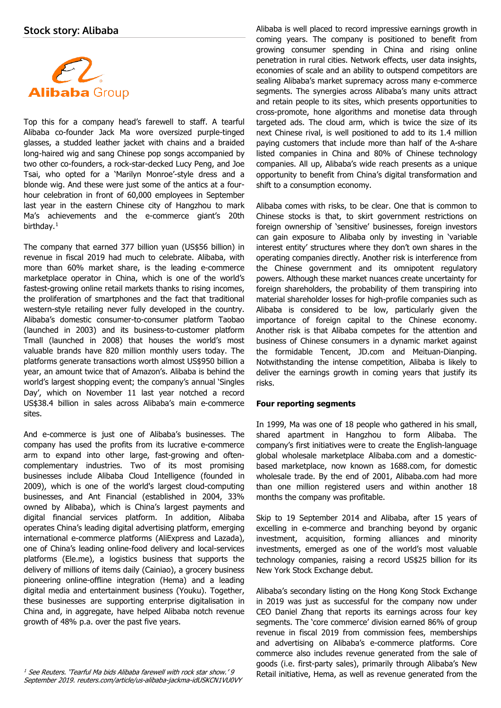

Top this for a company head's farewell to staff. A tearful Alibaba co-founder Jack Ma wore oversized purple-tinged glasses, a studded leather jacket with chains and a braided long-haired wig and sang Chinese pop songs accompanied by two other co-founders, a rock-star-decked Lucy Peng, and Joe Tsai, who opted for a 'Marilyn Monroe'-style dress and a blonde wig. And these were just some of the antics at a fourhour celebration in front of 60,000 employees in September last year in the eastern Chinese city of Hangzhou to mark Ma's achievements and the e-commerce giant's 20th birthday.<sup>[1](#page-3-0)</sup>

The company that earned 377 billion yuan (US\$56 billion) in revenue in fiscal 2019 had much to celebrate. Alibaba, with more than 60% market share, is the leading e-commerce marketplace operator in China, which is one of the world's fastest-growing online retail markets thanks to rising incomes, the proliferation of smartphones and the fact that traditional western-style retailing never fully developed in the country. Alibaba's domestic consumer-to-consumer platform Taobao (launched in 2003) and its business-to-customer platform Tmall (launched in 2008) that houses the world's most valuable brands have 820 million monthly users today. The platforms generate transactions worth almost US\$950 billion a year, an amount twice that of Amazon's. Alibaba is behind the world's largest shopping event; the company's annual 'Singles Day', which on November 11 last year notched a record US\$38.4 billion in sales across Alibaba's main e-commerce sites.

And e-commerce is just one of Alibaba's businesses. The company has used the profits from its lucrative e-commerce arm to expand into other large, fast-growing and oftencomplementary industries. Two of its most promising businesses include Alibaba Cloud Intelligence (founded in 2009), which is one of the world's largest cloud-computing businesses, and Ant Financial (established in 2004, 33% owned by Alibaba), which is China's largest payments and digital financial services platform. In addition, Alibaba operates China's leading digital advertising platform, emerging international e-commerce platforms (AliExpress and Lazada), one of China's leading online-food delivery and local-services platforms (Ele.me), a logistics business that supports the delivery of millions of items daily (Cainiao), a grocery business pioneering online-offline integration (Hema) and a leading digital media and entertainment business (Youku). Together, these businesses are supporting enterprise digitalisation in China and, in aggregate, have helped Alibaba notch revenue growth of 48% p.a. over the past five years.

Alibaba is well placed to record impressive earnings growth in coming years. The company is positioned to benefit from growing consumer spending in China and rising online penetration in rural cities. Network effects, user data insights, economies of scale and an ability to outspend competitors are sealing Alibaba's market supremacy across many e-commerce segments. The synergies across Alibaba's many units attract and retain people to its sites, which presents opportunities to cross-promote, hone algorithms and monetise data through targeted ads. The cloud arm, which is twice the size of its next Chinese rival, is well positioned to add to its 1.4 million paying customers that include more than half of the A-share listed companies in China and 80% of Chinese technology companies. All up, Alibaba's wide reach presents as a unique opportunity to benefit from China's digital transformation and shift to a consumption economy.

Alibaba comes with risks, to be clear. One that is common to Chinese stocks is that, to skirt government restrictions on foreign ownership of 'sensitive' businesses, foreign investors can gain exposure to Alibaba only by investing in 'variable interest entity' structures where they don't own shares in the operating companies directly. Another risk is interference from the Chinese government and its omnipotent regulatory powers. Although these market nuances create uncertainty for foreign shareholders, the probability of them transpiring into material shareholder losses for high-profile companies such as Alibaba is considered to be low, particularly given the importance of foreign capital to the Chinese economy. Another risk is that Alibaba competes for the attention and business of Chinese consumers in a dynamic market against the formidable Tencent, JD.com and Meituan-Dianping. Notwithstanding the intense competition, Alibaba is likely to deliver the earnings growth in coming years that justify its risks.

## **Four reporting segments**

In 1999, Ma was one of 18 people who gathered in his small, shared apartment in Hangzhou to form Alibaba. The company's first initiatives were to create the English-language global wholesale marketplace Alibaba.com and a domesticbased marketplace, now known as 1688.com, for domestic wholesale trade. By the end of 2001, Alibaba.com had more than one million registered users and within another 18 months the company was profitable.

Skip to 19 September 2014 and Alibaba, after 15 years of excelling in e-commerce and branching beyond by organic investment, acquisition, forming alliances and minority investments, emerged as one of the world's most valuable technology companies, raising a record US\$25 billion for its New York Stock Exchange debut.

Alibaba's secondary listing on the Hong Kong Stock Exchange in 2019 was just as successful for the company now under CEO Daniel Zhang that reports its earnings across four key segments. The 'core commerce' division earned 86% of group revenue in fiscal 2019 from commission fees, memberships and advertising on Alibaba's e-commerce platforms. Core commerce also includes revenue generated from the sale of goods (i.e. first-party sales), primarily through Alibaba's New Retail initiative, Hema, as well as revenue generated from the

<span id="page-3-0"></span><sup>1</sup> See Reuters. 'Tearful Ma bids Alibaba farewell with rock star show.' 9 September 2019. reuters.com/article/us-alibaba-jackma-idUSKCN1VU0VY